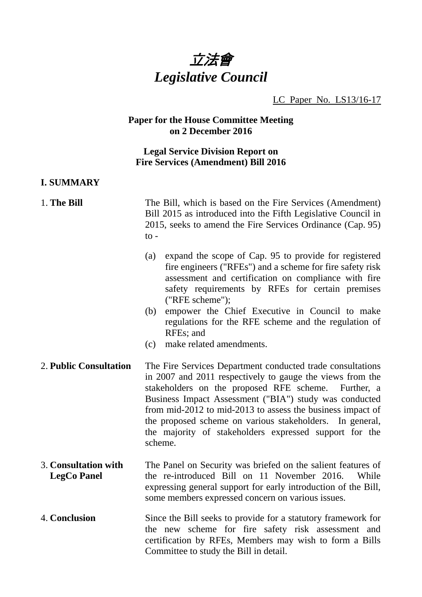

#### LC Paper No. LS13/16-17

#### **Paper for the House Committee Meeting on 2 December 2016**

#### **Legal Service Division Report on Fire Services (Amendment) Bill 2016**

#### **I. SUMMARY**

1. **The Bill** The Bill, which is based on the Fire Services (Amendment) Bill 2015 as introduced into the Fifth Legislative Council in 2015, seeks to amend the Fire Services Ordinance (Cap. 95)  $\mathsf{to}$  -

- (a) expand the scope of Cap. 95 to provide for registered fire engineers ("RFEs") and a scheme for fire safety risk assessment and certification on compliance with fire safety requirements by RFEs for certain premises ("RFE scheme");
- (b) empower the Chief Executive in Council to make regulations for the RFE scheme and the regulation of RFEs; and
- (c) make related amendments.
- 2. **Public Consultation** The Fire Services Department conducted trade consultations in 2007 and 2011 respectively to gauge the views from the stakeholders on the proposed RFE scheme. Further, a Business Impact Assessment ("BIA") study was conducted from mid-2012 to mid-2013 to assess the business impact of the proposed scheme on various stakeholders. In general, the majority of stakeholders expressed support for the scheme.
- 3. **Consultation with LegCo Panel**  The Panel on Security was briefed on the salient features of the re-introduced Bill on 11 November 2016. While expressing general support for early introduction of the Bill, some members expressed concern on various issues.
- 4. **Conclusion** Since the Bill seeks to provide for a statutory framework for the new scheme for fire safety risk assessment and certification by RFEs*,* Members may wish to form a Bills Committee to study the Bill in detail.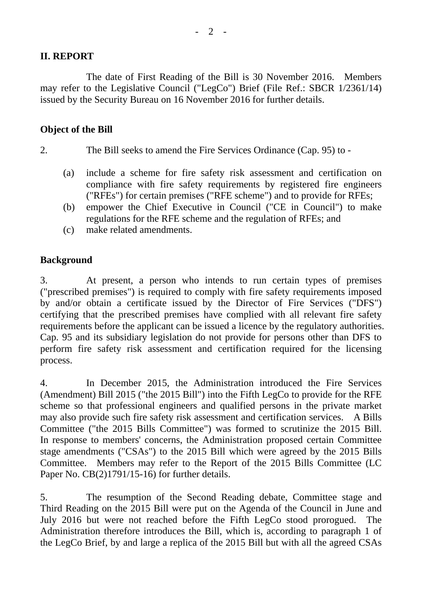# **II. REPORT**

 The date of First Reading of the Bill is 30 November 2016. Members may refer to the Legislative Council ("LegCo") Brief (File Ref.: SBCR 1/2361/14) issued by the Security Bureau on 16 November 2016 for further details.

#### **Object of the Bill**

- 2. The Bill seeks to amend the Fire Services Ordinance (Cap. 95) to
	- (a) include a scheme for fire safety risk assessment and certification on compliance with fire safety requirements by registered fire engineers ("RFEs") for certain premises ("RFE scheme") and to provide for RFEs;
	- (b) empower the Chief Executive in Council ("CE in Council") to make regulations for the RFE scheme and the regulation of RFEs; and
	- (c) make related amendments.

## **Background**

3. At present, a person who intends to run certain types of premises ("prescribed premises") is required to comply with fire safety requirements imposed by and/or obtain a certificate issued by the Director of Fire Services ("DFS") certifying that the prescribed premises have complied with all relevant fire safety requirements before the applicant can be issued a licence by the regulatory authorities. Cap. 95 and its subsidiary legislation do not provide for persons other than DFS to perform fire safety risk assessment and certification required for the licensing process.

4. In December 2015, the Administration introduced the Fire Services (Amendment) Bill 2015 ("the 2015 Bill") into the Fifth LegCo to provide for the RFE scheme so that professional engineers and qualified persons in the private market may also provide such fire safety risk assessment and certification services. A Bills Committee ("the 2015 Bills Committee") was formed to scrutinize the 2015 Bill. In response to members' concerns, the Administration proposed certain Committee stage amendments ("CSAs") to the 2015 Bill which were agreed by the 2015 Bills Committee. Members may refer to the Report of the 2015 Bills Committee (LC Paper No. CB(2)1791/15-16) for further details.

5. The resumption of the Second Reading debate, Committee stage and Third Reading on the 2015 Bill were put on the Agenda of the Council in June and July 2016 but were not reached before the Fifth LegCo stood prorogued. The Administration therefore introduces the Bill, which is, according to paragraph 1 of the LegCo Brief, by and large a replica of the 2015 Bill but with all the agreed CSAs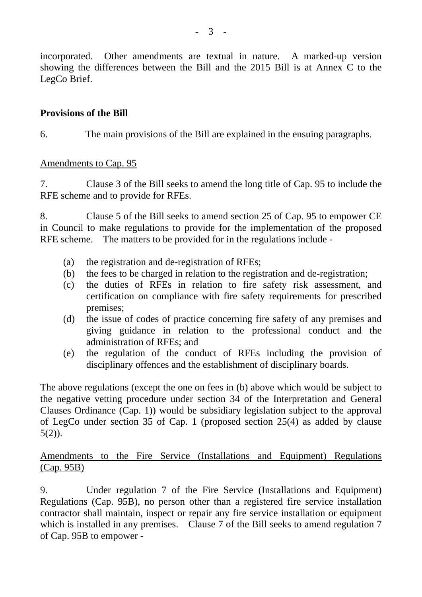incorporated. Other amendments are textual in nature. A marked-up version showing the differences between the Bill and the 2015 Bill is at Annex C to the LegCo Brief.

# **Provisions of the Bill**

6. The main provisions of the Bill are explained in the ensuing paragraphs.

# Amendments to Cap. 95

7. Clause 3 of the Bill seeks to amend the long title of Cap. 95 to include the RFE scheme and to provide for RFEs.

8. Clause 5 of the Bill seeks to amend section 25 of Cap. 95 to empower CE in Council to make regulations to provide for the implementation of the proposed RFE scheme. The matters to be provided for in the regulations include -

- (a) the registration and de-registration of RFEs;
- (b) the fees to be charged in relation to the registration and de-registration;
- (c) the duties of RFEs in relation to fire safety risk assessment, and certification on compliance with fire safety requirements for prescribed premises;
- (d) the issue of codes of practice concerning fire safety of any premises and giving guidance in relation to the professional conduct and the administration of RFEs; and
- (e) the regulation of the conduct of RFEs including the provision of disciplinary offences and the establishment of disciplinary boards.

The above regulations (except the one on fees in (b) above which would be subject to the negative vetting procedure under section 34 of the Interpretation and General Clauses Ordinance (Cap. 1)) would be subsidiary legislation subject to the approval of LegCo under section 35 of Cap. 1 (proposed section 25(4) as added by clause  $5(2)$ ).

# Amendments to the Fire Service (Installations and Equipment) Regulations (Cap. 95B)

9. Under regulation 7 of the Fire Service (Installations and Equipment) Regulations (Cap. 95B), no person other than a registered fire service installation contractor shall maintain, inspect or repair any fire service installation or equipment which is installed in any premises. Clause 7 of the Bill seeks to amend regulation 7 of Cap. 95B to empower -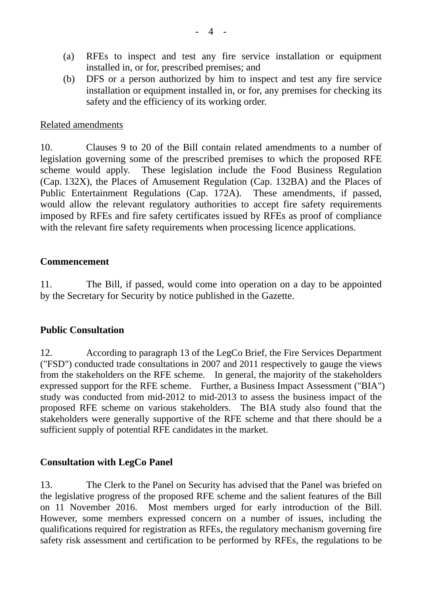- (a) RFEs to inspect and test any fire service installation or equipment installed in, or for, prescribed premises; and
- (b) DFS or a person authorized by him to inspect and test any fire service installation or equipment installed in, or for, any premises for checking its safety and the efficiency of its working order.

#### Related amendments

10. Clauses 9 to 20 of the Bill contain related amendments to a number of legislation governing some of the prescribed premises to which the proposed RFE scheme would apply. These legislation include the Food Business Regulation (Cap. 132X), the Places of Amusement Regulation (Cap. 132BA) and the Places of Public Entertainment Regulations (Cap. 172A). These amendments, if passed, would allow the relevant regulatory authorities to accept fire safety requirements imposed by RFEs and fire safety certificates issued by RFEs as proof of compliance with the relevant fire safety requirements when processing licence applications.

# **Commencement**

11. The Bill, if passed, would come into operation on a day to be appointed by the Secretary for Security by notice published in the Gazette.

# **Public Consultation**

12. According to paragraph 13 of the LegCo Brief, the Fire Services Department ("FSD") conducted trade consultations in 2007 and 2011 respectively to gauge the views from the stakeholders on the RFE scheme. In general, the majority of the stakeholders expressed support for the RFE scheme. Further, a Business Impact Assessment ("BIA") study was conducted from mid-2012 to mid-2013 to assess the business impact of the proposed RFE scheme on various stakeholders. The BIA study also found that the stakeholders were generally supportive of the RFE scheme and that there should be a sufficient supply of potential RFE candidates in the market.

# **Consultation with LegCo Panel**

13. The Clerk to the Panel on Security has advised that the Panel was briefed on the legislative progress of the proposed RFE scheme and the salient features of the Bill on 11 November 2016. Most members urged for early introduction of the Bill. However, some members expressed concern on a number of issues, including the qualifications required for registration as RFEs, the regulatory mechanism governing fire safety risk assessment and certification to be performed by RFEs, the regulations to be